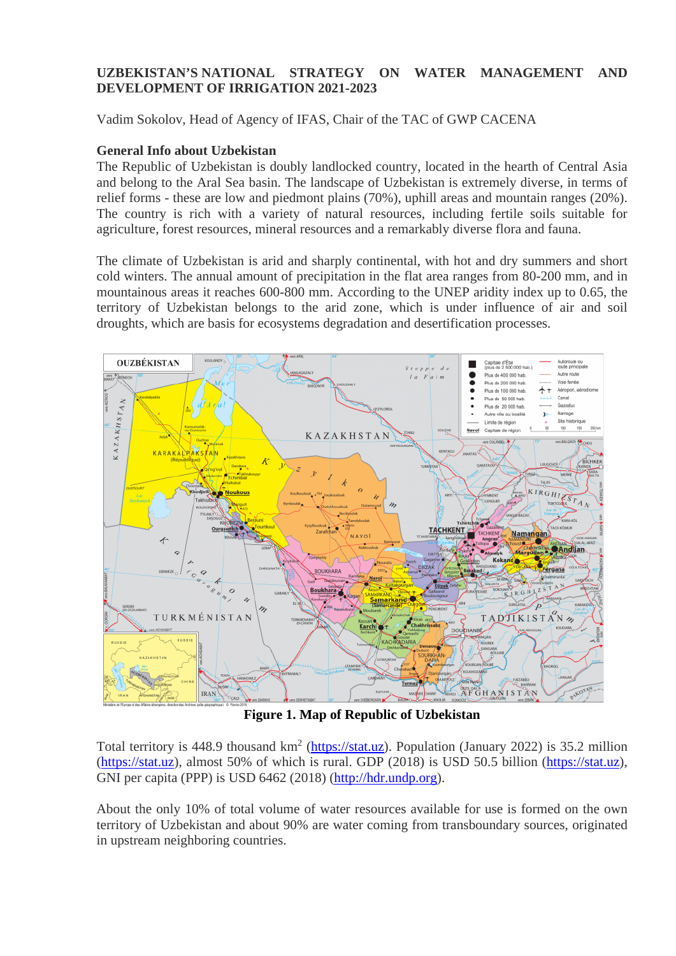## **UZBEKISTAN'S NATIONAL STRATEGY ON WATER MANAGEMENT AND DEVELOPMENT OF IRRIGATION 2021-2023**

Vadim Sokolov, Head of Agency of IFAS, Chair of the TAC of GWP CACENA

### **General Info about Uzbekistan**

The Republic of Uzbekistan is doubly landlocked country, located in the hearth of Central Asia and belong to the Aral Sea basin. The landscape of Uzbekistan is extremely diverse, in terms of relief forms - these are low and piedmont plains (70%), uphill areas and mountain ranges (20%). The country is rich with a variety of natural resources, including fertile soils suitable for agriculture, forest resources, mineral resources and a remarkably diverse flora and fauna.

The climate of Uzbekistan is arid and sharply continental, with hot and dry summers and short cold winters. The annual amount of precipitation in the flat area ranges from 80-200 mm, and in mountainous areas it reaches 600-800 mm. According to the UNEP aridity index up to 0.65, the territory of Uzbekistan belongs to the arid zone, which is under influence of air and soil droughts, which are basis for ecosystems degradation and desertification processes.



**Figure 1. Map of Republic of Uzbekistan**

Total territory is 448.9 thousand km<sup>2</sup> [\(https://stat.uz\)](https://stat.uz/). Population (January 2022) is 35.2 million [\(https://stat.uz\)](https://stat.uz/), almost 50% of which is rural. GDP (2018) is USD 50.5 billion [\(https://stat.uz\)](https://stat.uz/), GNI per capita (PPP) is USD 6462 (2018) [\(http://hdr.undp.org\)](http://hdr.undp.org/).

About the only 10% of total volume of water resources available for use is formed on the own territory of Uzbekistan and about 90% are water coming from transboundary sources, originated in upstream neighboring countries.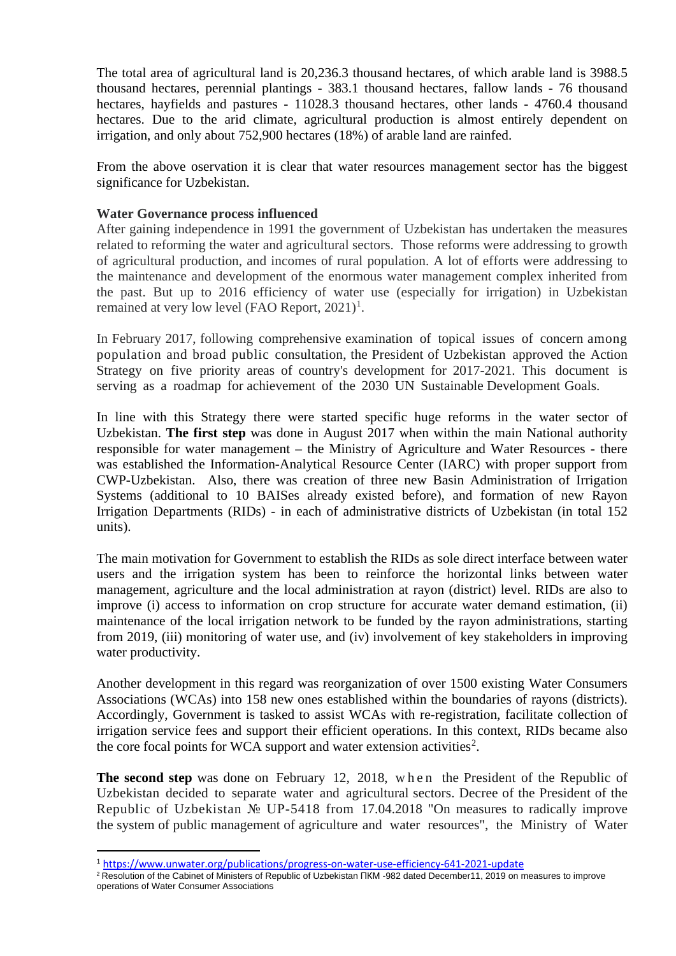The total area of agricultural land is 20,236.3 thousand hectares, of which arable land is 3988.5 thousand hectares, perennial plantings - 383.1 thousand hectares, fallow lands - 76 thousand hectares, hayfields and pastures - 11028.3 thousand hectares, other lands - 4760.4 thousand hectares. Due to the arid climate, agricultural production is almost entirely dependent on irrigation, and only about 752,900 hectares (18%) of arable land are rainfed.

From the above oservation it is clear that water resources management sector has the biggest significance for Uzbekistan.

### **Water Governance process influenced**

After gaining independence in 1991 the government of Uzbekistan has undertaken the measures related to reforming the water and agricultural sectors. Those reforms were addressing to growth of agricultural production, and incomes of rural population. A lot of efforts were addressing to the maintenance and development of the enormous water management complex inherited from the past. But up to 2016 efficiency of water use (especially for irrigation) in Uzbekistan remained at very low level (FAO Report,  $2021$  $2021$ )<sup>1</sup>.

In February 2017, following comprehensive examination of topical issues of concern among population and broad public consultation, the President of Uzbekistan approved the Action Strategy on five priority areas of country's development for 2017-2021. This document is serving as a roadmap for achievement of the 2030 UN Sustainable Development Goals.

In line with this Strategy there were started specific huge reforms in the water sector of Uzbekistan. **The first step** was done in August 2017 when within the main National authority responsible for water management – the Ministry of Agriculture and Water Resources - there was established the Information-Analytical Resource Center (IARC) with proper support from CWP-Uzbekistan. Also, there was creation of three new Basin Administration of Irrigation Systems (additional to 10 BAISes already existed before), and formation of new Rayon Irrigation Departments (RIDs) - in each of administrative districts of Uzbekistan (in total 152 units).

The main motivation for Government to establish the RIDs as sole direct interface between water users and the irrigation system has been to reinforce the horizontal links between water management, agriculture and the local administration at rayon (district) level. RIDs are also to improve (i) access to information on crop structure for accurate water demand estimation, (ii) maintenance of the local irrigation network to be funded by the rayon administrations, starting from 2019, (iii) monitoring of water use, and (iv) involvement of key stakeholders in improving water productivity.

Another development in this regard was reorganization of over 1500 existing Water Consumers Associations (WCAs) into 158 new ones established within the boundaries of rayons (districts). Accordingly, Government is tasked to assist WCAs with re-registration, facilitate collection of irrigation service fees and support their efficient operations. In this context, RIDs became also the core focal points for WCA support and water extension activities<sup>[2](#page-1-1)</sup>.

**The second step** was done on February 12, 2018, when the President of the Republic of Uzbekistan decided to separate water and agricultural sectors. Decree of the President of the Republic of Uzbekistan № UP-5418 from 17.04.2018 "On measures to radically improve the system of public management of agriculture and water resources", the Ministry of Water

<span id="page-1-0"></span><sup>1</sup> <https://www.unwater.org/publications/progress-on-water-use-efficiency-641-2021-update>

<span id="page-1-1"></span><sup>&</sup>lt;sup>2</sup> Resolution of the Cabinet of Ministers of Republic of Uzbekistan ПКМ -982 dated December11, 2019 on measures to improve operations of Water Consumer Associations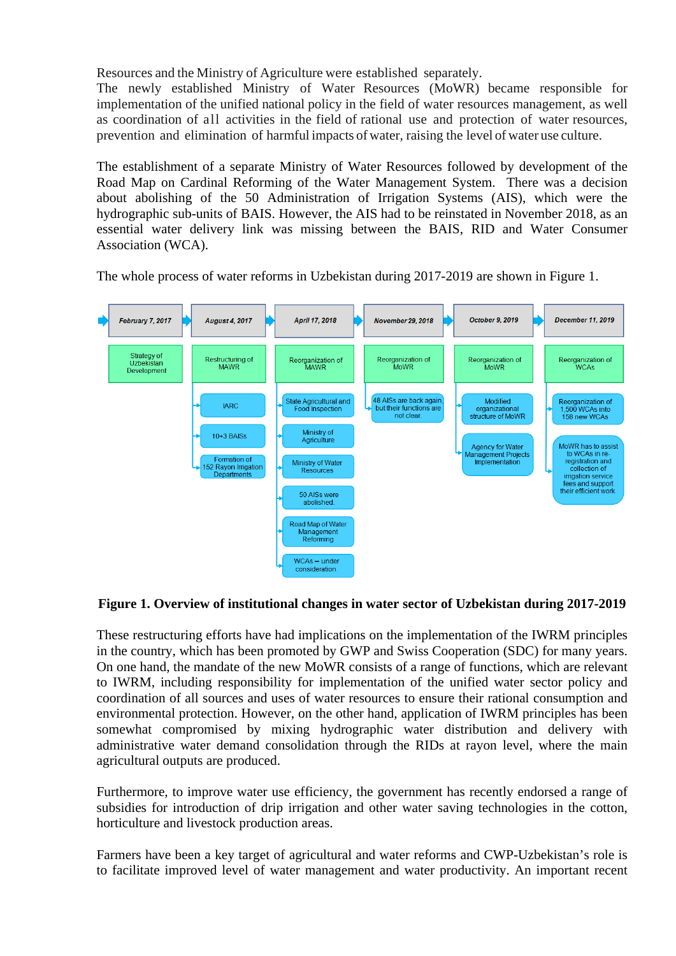Resources and the Ministry of Agriculture were established separately.

The newly established Ministry of Water Resources (MoWR) became responsible for implementation of the unified national policy in the field of water resources management, as well as coordination of all activities in the field of rational use and protection of water resources, prevention and elimination of harmful impacts of water, raising the level of water use culture.

The establishment of a separate Ministry of Water Resources followed by development of the Road Map on Cardinal Reforming of the Water Management System. There was a decision about abolishing of the 50 Administration of Irrigation Systems (AIS), which were the hydrographic sub-units of BAIS. However, the AIS had to be reinstated in November 2018, as an essential water delivery link was missing between the BAIS, RID and Water Consumer Association (WCA).



The whole process of water reforms in Uzbekistan during 2017-2019 are shown in Figure 1.

## **Figure 1. Overview of institutional changes in water sector of Uzbekistan during 2017-2019**

These restructuring efforts have had implications on the implementation of the IWRM principles in the country, which has been promoted by GWP and Swiss Cooperation (SDC) for many years. On one hand, the mandate of the new MoWR consists of a range of functions, which are relevant to IWRM, including responsibility for implementation of the unified water sector policy and coordination of all sources and uses of water resources to ensure their rational consumption and environmental protection. However, on the other hand, application of IWRM principles has been somewhat compromised by mixing hydrographic water distribution and delivery with administrative water demand consolidation through the RIDs at rayon level, where the main agricultural outputs are produced.

Furthermore, to improve water use efficiency, the government has recently endorsed a range of subsidies for introduction of drip irrigation and other water saving technologies in the cotton, horticulture and livestock production areas.

Farmers have been a key target of agricultural and water reforms and CWP-Uzbekistan's role is to facilitate improved level of water management and water productivity. An important recent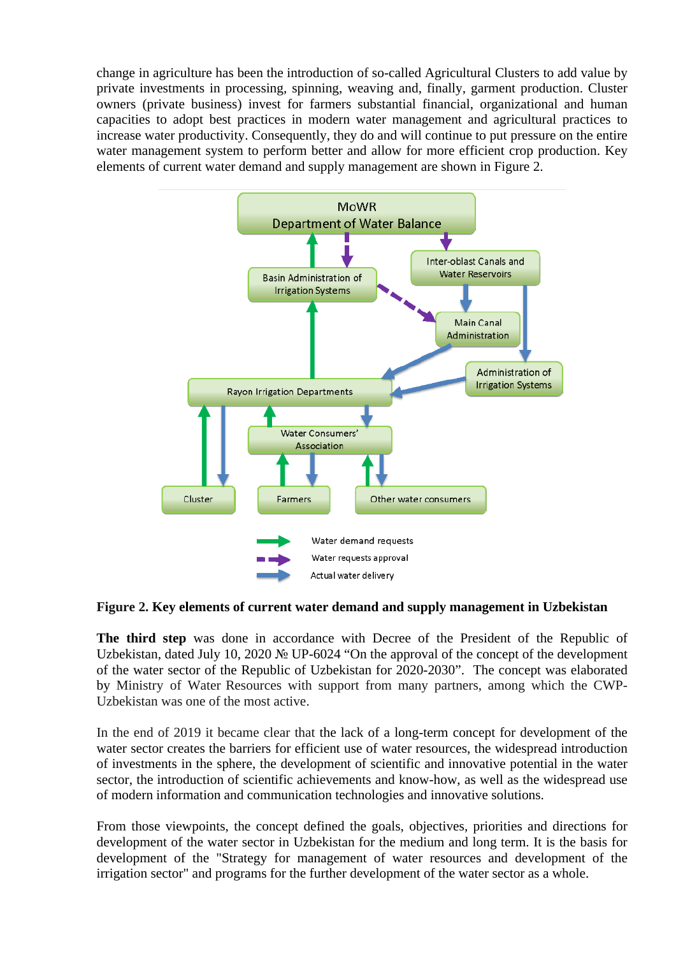change in agriculture has been the introduction of so-called Agricultural Clusters to add value by private investments in processing, spinning, weaving and, finally, garment production. Cluster owners (private business) invest for farmers substantial financial, organizational and human capacities to adopt best practices in modern water management and agricultural practices to increase water productivity. Consequently, they do and will continue to put pressure on the entire water management system to perform better and allow for more efficient crop production. Key elements of current water demand and supply management are shown in Figure 2.



### **Figure 2. Key elements of current water demand and supply management in Uzbekistan**

**The third step** was done in accordance with Decree of the President of the Republic of Uzbekistan, dated July 10, 2020 № UP-6024 "On the approval of the concept of the development of the water sector of the Republic of Uzbekistan for 2020-2030". The concept was elaborated by Ministry of Water Resources with support from many partners, among which the CWP-Uzbekistan was one of the most active.

In the end of 2019 it became clear that the lack of a long-term concept for development of the water sector creates the barriers for efficient use of water resources, the widespread introduction of investments in the sphere, the development of scientific and innovative potential in the water sector, the introduction of scientific achievements and know-how, as well as the widespread use of modern information and communication technologies and innovative solutions.

From those viewpoints, the concept defined the goals, objectives, priorities and directions for development of the water sector in Uzbekistan for the medium and long term. It is the basis for development of the "Strategy for management of water resources and development of the irrigation sector" and programs for the further development of the water sector as a whole.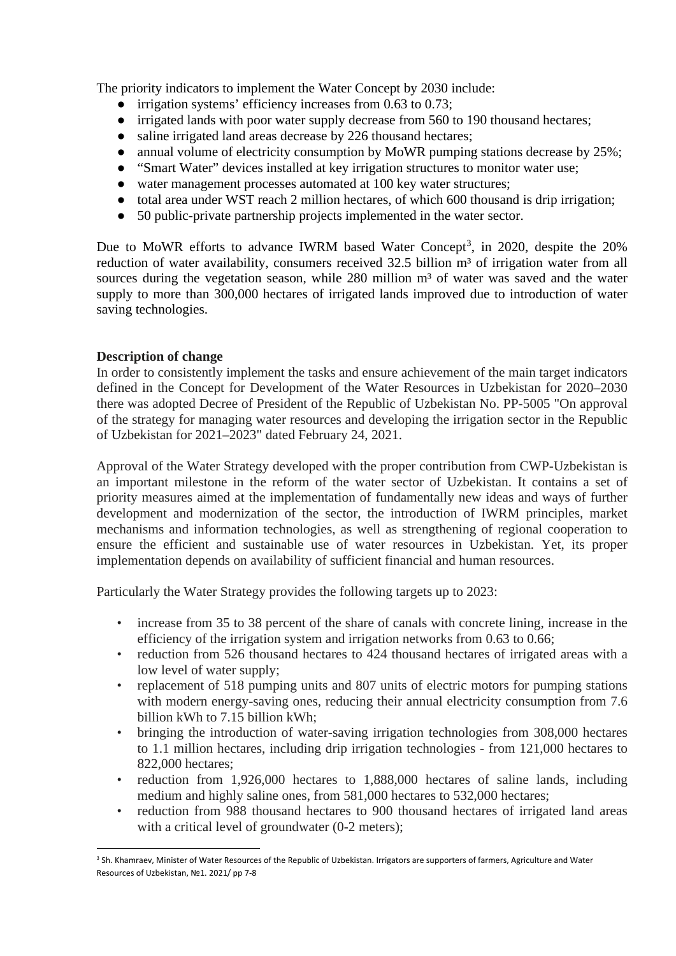The priority indicators to implement the Water Concept by 2030 include:

- irrigation systems' efficiency increases from 0.63 to 0.73;
- irrigated lands with poor water supply decrease from 560 to 190 thousand hectares;
- saline irrigated land areas decrease by 226 thousand hectares;
- annual volume of electricity consumption by MoWR pumping stations decrease by 25%;
- "Smart Water" devices installed at key irrigation structures to monitor water use;
- water management processes automated at 100 key water structures;
- total area under WST reach 2 million hectares, of which 600 thousand is drip irrigation;
- 50 public-private partnership projects implemented in the water sector.

Due to MoWR efforts to advance IWRM based Water Concept<sup>[3](#page-4-0)</sup>, in 2020, despite the 20% reduction of water availability, consumers received 32.5 billion m<sup>3</sup> of irrigation water from all sources during the vegetation season, while  $280$  million  $m<sup>3</sup>$  of water was saved and the water supply to more than 300,000 hectares of irrigated lands improved due to introduction of water saving technologies.

# **Description of change**

In order to consistently implement the tasks and ensure achievement of the main target indicators defined in the Concept for Development of the Water Resources in Uzbekistan for 2020–2030 there was adopted Decree of President of the Republic of Uzbekistan No. PP-5005 "On approval of the strategy for managing water resources and developing the irrigation sector in the Republic of Uzbekistan for 2021–2023" dated February 24, 2021.

Approval of the Water Strategy developed with the proper contribution from CWP-Uzbekistan is an important milestone in the reform of the water sector of Uzbekistan. It contains a set of priority measures aimed at the implementation of fundamentally new ideas and ways of further development and modernization of the sector, the introduction of IWRM principles, market mechanisms and information technologies, as well as strengthening of regional cooperation to ensure the efficient and sustainable use of water resources in Uzbekistan. Yet, its proper implementation depends on availability of sufficient financial and human resources.

Particularly the Water Strategy provides the following targets up to 2023:

- increase from 35 to 38 percent of the share of canals with concrete lining, increase in the efficiency of the irrigation system and irrigation networks from 0.63 to 0.66;
- reduction from 526 thousand hectares to 424 thousand hectares of irrigated areas with a low level of water supply;
- replacement of 518 pumping units and 807 units of electric motors for pumping stations with modern energy-saving ones, reducing their annual electricity consumption from 7.6 billion kWh to 7.15 billion kWh;
- bringing the introduction of water-saving irrigation technologies from 308,000 hectares to 1.1 million hectares, including drip irrigation technologies - from 121,000 hectares to 822,000 hectares;
- reduction from 1,926,000 hectares to 1,888,000 hectares of saline lands, including medium and highly saline ones, from 581,000 hectares to 532,000 hectares;
- reduction from 988 thousand hectares to 900 thousand hectares of irrigated land areas with a critical level of groundwater (0-2 meters):

<span id="page-4-0"></span><sup>&</sup>lt;sup>3</sup> Sh. Khamraev, Minister of Water Resources of the Republic of Uzbekistan. Irrigators are supporters of farmers, Agriculture and Water Resources of Uzbekistan, №1. 2021/ pp 7-8